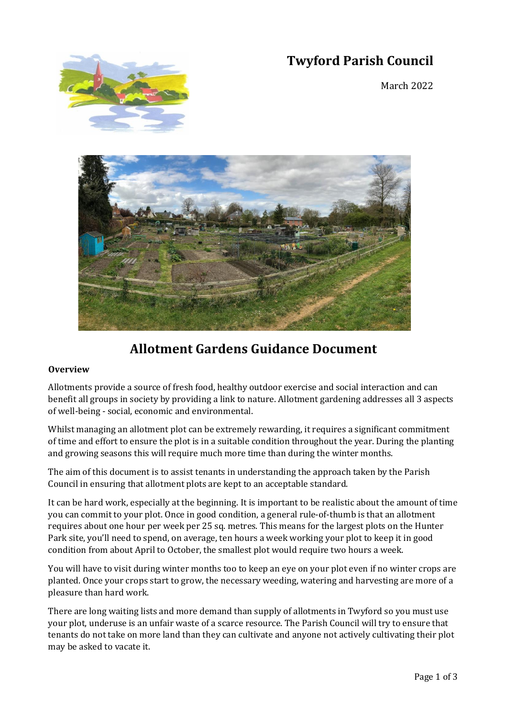# **Twyford Parish Council**



March 2022



## **Allotment Gardens Guidance Document**

### **Overview**

Allotments provide a source of fresh food, healthy outdoor exercise and social interaction and can benefit all groups in society by providing a link to nature. Allotment gardening addresses all 3 aspects of well-being - social, economic and environmental.

Whilst managing an allotment plot can be extremely rewarding, it requires a significant commitment of time and effort to ensure the plot is in a suitable condition throughout the year. During the planting and growing seasons this will require much more time than during the winter months.

The aim of this document is to assist tenants in understanding the approach taken by the Parish Council in ensuring that allotment plots are kept to an acceptable standard.

It can be hard work, especially at the beginning. It is important to be realistic about the amount of time you can commit to your plot. Once in good condition, a general rule-of-thumb is that an allotment requires about one hour per week per 25 sq. metres. This means for the largest plots on the Hunter Park site, you'll need to spend, on average, ten hours a week working your plot to keep it in good condition from about April to October, the smallest plot would require two hours a week.

You will have to visit during winter months too to keep an eye on your plot even if no winter crops are planted. Once your crops start to grow, the necessary weeding, watering and harvesting are more of a pleasure than hard work.

There are long waiting lists and more demand than supply of allotments in Twyford so you must use your plot, underuse is an unfair waste of a scarce resource. The Parish Council will try to ensure that tenants do not take on more land than they can cultivate and anyone not actively cultivating their plot may be asked to vacate it.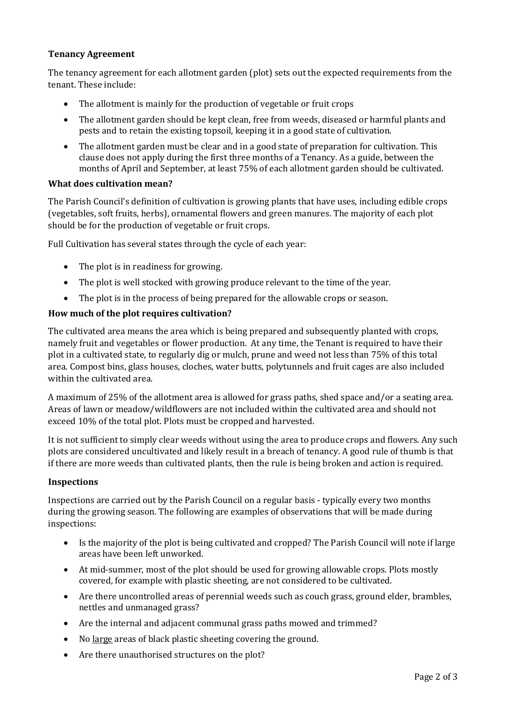## **Tenancy Agreement**

The tenancy agreement for each allotment garden (plot) sets out the expected requirements from the tenant. These include:

- The allotment is mainly for the production of vegetable or fruit crops
- The allotment garden should be kept clean, free from weeds, diseased or harmful plants and pests and to retain the existing topsoil, keeping it in a good state of cultivation.
- The allotment garden must be clear and in a good state of preparation for cultivation. This clause does not apply during the first three months of a Tenancy. As a guide, between the months of April and September, at least 75% of each allotment garden should be cultivated.

#### **What does cultivation mean?**

The Parish Council's definition of cultivation is growing plants that have uses, including edible crops (vegetables, soft fruits, herbs), ornamental flowers and green manures. The majority of each plot should be for the production of vegetable or fruit crops.

Full Cultivation has several states through the cycle of each year:

- The plot is in readiness for growing.
- The plot is well stocked with growing produce relevant to the time of the year.
- The plot is in the process of being prepared for the allowable crops or season.

#### **How much of the plot requires cultivation?**

The cultivated area means the area which is being prepared and subsequently planted with crops, namely fruit and vegetables or flower production. At any time, the Tenant is required to have their plot in a cultivated state, to regularly dig or mulch, prune and weed not less than 75% of this total area. Compost bins, glass houses, cloches, water butts, polytunnels and fruit cages are also included within the cultivated area.

A maximum of 25% of the allotment area is allowed for grass paths, shed space and/or a seating area. Areas of lawn or meadow/wildflowers are not included within the cultivated area and should not exceed 10% of the total plot. Plots must be cropped and harvested.

It is not sufficient to simply clear weeds without using the area to produce crops and flowers. Any such plots are considered uncultivated and likely result in a breach of tenancy. A good rule of thumb is that if there are more weeds than cultivated plants, then the rule is being broken and action is required.

#### **Inspections**

Inspections are carried out by the Parish Council on a regular basis - typically every two months during the growing season. The following are examples of observations that will be made during inspections:

- Is the majority of the plot is being cultivated and cropped? The Parish Council will note if large areas have been left unworked.
- At mid-summer, most of the plot should be used for growing allowable crops. Plots mostly covered, for example with plastic sheeting, are not considered to be cultivated.
- Are there uncontrolled areas of perennial weeds such as couch grass, ground elder, brambles, nettles and unmanaged grass?
- Are the internal and adjacent communal grass paths mowed and trimmed?
- No large areas of black plastic sheeting covering the ground.
- Are there unauthorised structures on the plot?